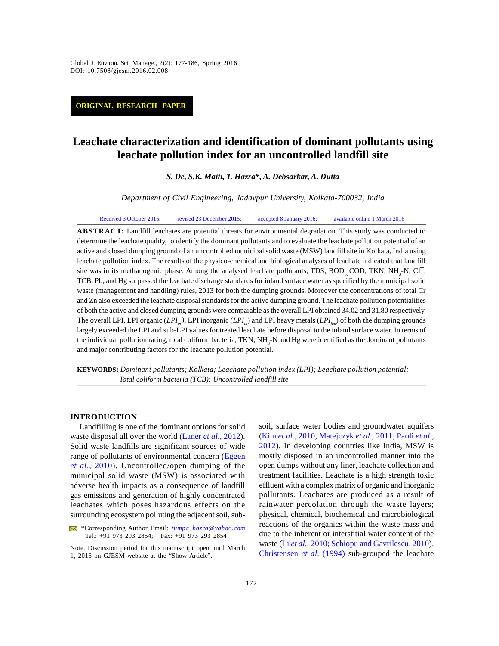*Global J. Environ. Sci. Manage., 2(2): 177-186, Spring 2016* Global J. Environ. Sci. Manage., 2(2): 177-186, Spring 2016 DOI: 10.7508/gjesm.2016.02.008

**ORIGINAL RESEARCH PAPER**

# **Leachate characterization and identification of dominant pollutants using leachate pollution index for an uncontrolled landfill site**

*S. De, S.K. Maiti, T. Hazra\*, A. Debsarkar, A. Dutta*

*Department of Civil Engineering, Jadavpur University, Kolkata-700032, India*

Received 3 October 2015; revised 23 December 2015; accepted 8 January 2016; available online 1 March 2016

**ABSTRACT:** Landfill leachates are potential threats for environmental degradation. This study was conducted to determine the leachate quality, to identify the dominant pollutants and to evaluate the leachate pollution potential of an active and closed dumping ground of an uncontrolled municipal solid waste (MSW) landfill site in Kolkata, India using leachate pollution index. The results of the physico-chemical and biological analyses of leachate indicated that landfill **ABSTRACT:** Landfill leachates are potential threats for environmental degradation. This study was conducted to determine the leachate quality, to identify the dominant pollutants and to evaluate the leachate pollution po TCB, Pb, and Hg surpassed the leachate discharge standards for inland surface water as specified by the municipal solid waste (management and handling) rules, 2013 for both the dumping grounds. Moreover the concentrations of total Cr and Zn also exceeded the leachate disposal standards for the active dumping ground. The leachate pollution potentialities of both the active and closed dumping grounds were comparable as the overall LPI obtained 34.02 and 31.80 respectively. The overall LPI, LPI organic (*LPI or)*, LPI inorganic (*LPIin*) and LPI heavy metals (*LPIhm*) of both the dumping grounds largely exceeded the LPI and sub-LPI values for treated leachate before disposal to the inland surface water. In terms of the individual pollution rating, total coliform bacteria, TKN, NH<sub>3</sub>-N and Hg were identified as the dominant pollutants and major contributing factors for the leachate pollution potential.

**KEYWORDS:** *Dominant pollutants; Kolkata; Leachate pollution index (LPI); Leachate pollution potential; Total coliform bacteria (TCB): Uncontrolled landfill site*

## **INTRODUCTION**

Landfilling is one of the dominant options for solid waste disposal all over the world (Laner *et al*., 2012). Solid waste landfills are significant sources of wide range of pollutants of environmental concern (Eggen *et al*., 2010). Uncontrolled/open dumping of the municipal solid waste (MSW) is associated with adverse health impacts as a consequence of landfill gas emissions and generation of highly concentrated leachates which poses hazardous effects on the surrounding ecosystem polluting the adjacent soil, sub-

soil, surface water bodies and groundwater aquifers (Kim *et al*., 2010; Matejczyk *et al*., 2011; Paoli *et al*., 2012). In developing countries like India, MSW is mostly disposed in an uncontrolled manner into the open dumps without any liner, leachate collection and treatment facilities. Leachate is a high strength toxic effluent with a complex matrix of organic and inorganic pollutants. Leachates are produced as a result of rainwater percolation through the waste layers; physical, chemical, biochemical and microbiological reactions of the organics within the waste mass and due to the inherent or interstitial water content of the waste (Li *et al*., 2010; Schiopu and Gavrilescu, 2010). Christensen *et al*. (1994) sub-grouped the leachate

 <sup>\*</sup>Corresponding Author Email: *tumpa\_hazra@yahoo.com* Tel.: +91 973 293 2854; Fax: +91 973 293 2854

Note. Discussion period for this manuscript open until March 1, 2016 on GJESM website at the "Show Article".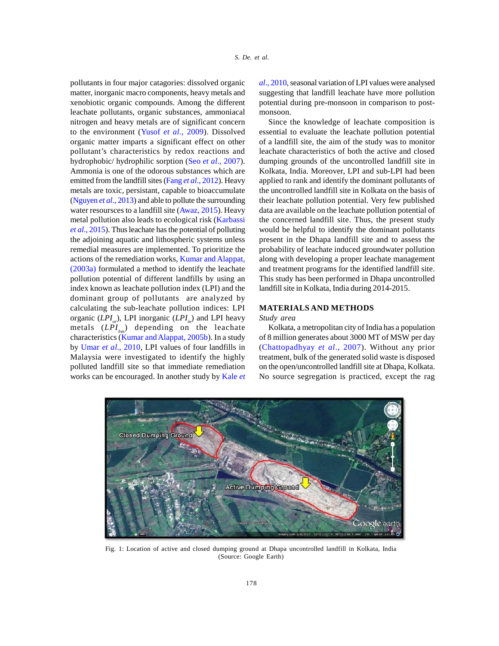pollutants in four major catagories: dissolved organic matter, inorganic macro components, heavy metals and xenobiotic organic compounds. Among the different leachate pollutants, organic substances, ammoniacal nitrogen and heavy metals are of significant concern to the environment (Yusof *et al*., 2009). Dissolved organic matter imparts a significant effect on other pollutant's characteristics by redox reactions and hydrophobic/ hydrophilic sorption (Seo *et al*., 2007). Ammonia is one of the odorous substances which are emitted from the landfill sites (Fang *et al*., 2012). Heavy metals are toxic, persistant, capable to bioaccumulate (Nguyen *et al*., 2013) and able to pollute the surrounding water resoursces to a landfill site (Awaz, 2015). Heavy metal pollution also leads to ecological risk (Karbassi *et al*., 2015). Thus leachate has the potential of polluting the adjoining aquatic and lithospheric systems unless remedial measures are implemented. To prioritize the actions of the remediation works, Kumar and Alappat, (2003a) formulated a method to identify the leachate pollution potential of different landfills by using an index known as leachate pollution index (LPI) and the dominant group of pollutants are analyzed by calculating the sub-leachate pollution indices: LPI organic (*LPI<sub>or</sub>*), LPI inorganic (*LPI<sub>in</sub>*) and LPI heavy Study metals (*LPIhm*) depending on the leachate characteristics (Kumar and Alappat, 2005b). In a study by Umar *et al*., 2010, LPI values of four landfills in Malaysia were investigated to identify the highly polluted landfill site so that immediate remediation works can be encouraged. In another study by Kale *et*

*al*., 2010, seasonal variation of LPI values were analysed suggesting that landfill leachate have more pollution potential during pre-monsoon in comparison to postmonsoon.

Since the knowledge of leachate composition is essential to evaluate the leachate pollution potential of a landfill site, the aim of the study was to monitor leachate characteristics of both the active and closed dumping grounds of the uncontrolled landfill site in Kolkata, India. Moreover, LPI and sub-LPI had been applied to rank and identify the dominant pollutants of the uncontrolled landfill site in Kolkata on the basis of their leachate pollution potential. Very few published data are available on the leachate pollution potential of the concerned landfill site. Thus, the present study would be helpful to identify the dominant pollutants present in the Dhapa landfill site and to assess the probability of leachate induced groundwater pollution along with developing a proper leachate management and treatment programs for the identified landfill site. This study has been performed in Dhapa uncontrolled landfill site in Kolkata, India during 2014-2015.

## **MATERIALS AND METHODS**

#### *Study area*

Kolkata, a metropolitan city of India has a population of 8 million generates about 3000 MT of MSW per day (Chattopadhyay *et al*., 2007). Without any prior treatment, bulk of the generated solid waste is disposed on the open/uncontrolled landfill site at Dhapa, Kolkata. No source segregation is practiced, except the rag



Fig. 1: Location of active and closed dumping ground at Dhapa uncontrolled landfill in Kolkata, India (Source: Google Earth)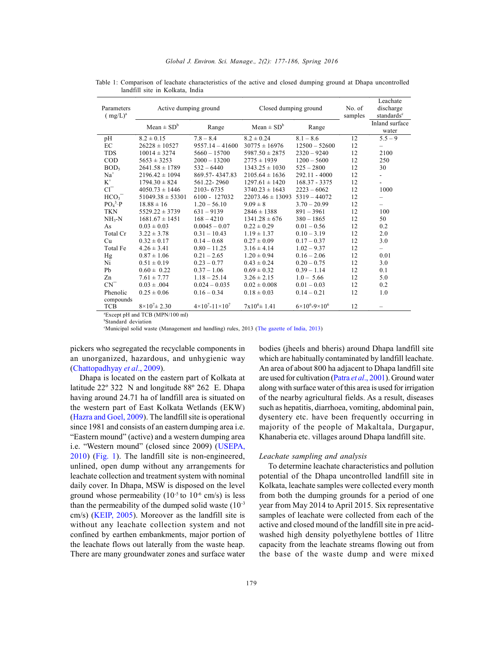| Parameters<br>$(mg/L)^a$ | Active dumping ground                                                                                                                                               |                                      | Closed dumping ground      |                                 | No. of<br>samples | Leachate<br>discharge<br>standards <sup>c</sup> |
|--------------------------|---------------------------------------------------------------------------------------------------------------------------------------------------------------------|--------------------------------------|----------------------------|---------------------------------|-------------------|-------------------------------------------------|
|                          | $Mean \pm SD^b$                                                                                                                                                     | Range                                | Mean $\pm$ SD <sup>b</sup> | Range                           |                   | Inland surface<br>water                         |
| pH                       | $8.2 \pm 0.15$                                                                                                                                                      | $7.8 - 8.4$                          | $8.2 \pm 0.24$             | $8.1 - 8.6$                     | 12                | $5.5 - 9$                                       |
| EC                       | $26228 \pm 10527$                                                                                                                                                   | $9557.14 - 41600$                    | $30775 \pm 16976$          | $12500 - 52600$                 | 12                |                                                 |
| <b>TDS</b>               | $10014 \pm 3274$                                                                                                                                                    | $5660 - 15700$                       | $5987.50 \pm 2875$         | $2320 - 9240$                   | 12                | 2100                                            |
| <b>COD</b>               | $5653 \pm 3253$                                                                                                                                                     | $2000 - 13200$                       | $2775 \pm 1939$            | $1200 - 5600$                   | 12                | 250                                             |
| BOD <sub>5</sub>         | $2641.58 \pm 1789$                                                                                                                                                  | $532 - 6440$                         | $1343.25 \pm 1030$         | $525 - 2800$                    | 12                | 30                                              |
| $Na+$                    | $2196.42 \pm 1094$                                                                                                                                                  | 869.57-4347.83                       | $2105.64 \pm 1636$         | $292.11 - 4000$                 | 12                |                                                 |
| $K^+$                    | $1794.30 \pm 824$                                                                                                                                                   | 561.22 - 2960                        | $1297.61 \pm 1420$         | 168.37 - 3375                   | 12                |                                                 |
| $Cl^{-}$                 | $4050.73 \pm 1446$                                                                                                                                                  | 2103-6735                            | $3740.23 \pm 1643$         | $2223 - 6062$                   | 12                | 1000                                            |
| HCO <sub>3</sub>         | $51049.38 \pm 53301$                                                                                                                                                | $6100 - 127032$                      | $22073.46 \pm 13093$       | $5319 - 44072$                  | 12                |                                                 |
| $PO43-P$                 | $18.88 \pm 16$                                                                                                                                                      | $1.20 - 56.10$                       | $9.09 \pm 8$               | $3.70 - 20.99$                  | 12                |                                                 |
| <b>TKN</b>               | $5529.22 \pm 3739$                                                                                                                                                  | $631 - 9139$                         | $2846 \pm 1388$            | $891 - 3961$                    | 12                | 100                                             |
| $NH3-N$                  | $1681.67 \pm 1451$                                                                                                                                                  | $168 - 4210$                         | $1341.28 \pm 676$          | $380 - 1865$                    | 12                | 50                                              |
| As                       | $0.03 \pm 0.03$                                                                                                                                                     | $0.0045 - 0.07$                      | $0.22 \pm 0.29$            | $0.01 - 0.56$                   | 12                | 0.2                                             |
| Total Cr                 | $3.22 \pm 3.78$                                                                                                                                                     | $0.31 - 10.43$                       | $1.19 \pm 1.37$            | $0.10 - 3.19$                   | 12                | 2.0                                             |
| Cu                       | $0.32 \pm 0.17$                                                                                                                                                     | $0.14 - 0.68$                        | $0.27 \pm 0.09$            | $0.17 - 0.37$                   | 12                | 3.0                                             |
| Total Fe                 | $4.26 \pm 3.41$                                                                                                                                                     | $0.80 - 11.25$                       | $3.16 \pm 4.14$            | $1.02 - 9.37$                   | 12                | -                                               |
| Hg                       | $0.87 \pm 1.06$                                                                                                                                                     | $0.21 - 2.65$                        | $1.20 \pm 0.94$            | $0.16 - 2.06$                   | 12                | 0.01                                            |
| Ni                       | $0.51 \pm 0.19$                                                                                                                                                     | $0.23 - 0.77$                        | $0.43 \pm 0.24$            | $0.20 - 0.75$                   | 12                | 3.0                                             |
| Pb                       | $0.60 \pm 0.22$                                                                                                                                                     | $0.37 - 1.06$                        | $0.69 \pm 0.32$            | $0.39 - 1.14$                   | 12                | 0.1                                             |
| Zn                       | $7.61 \pm 7.77$                                                                                                                                                     | $1.18 - 25.14$                       | $3.26 \pm 2.15$            | $1.0 - 5.66$                    | 12                | 5.0                                             |
| $CN^{-}$                 | $0.03 \pm .004$                                                                                                                                                     | $0.024 - 0.035$                      | $0.02 \pm 0.008$           | $0.01 - 0.03$                   | 12                | 0.2                                             |
| Phenolic<br>compounds    | $0.25 \pm 0.06$                                                                                                                                                     | $0.16 - 0.34$                        | $0.18 \pm 0.03$            | $0.14 - 0.21$                   | 12                | 1.0                                             |
| <b>TCB</b>               | $8\times10^{7} \pm 2.30$<br>$\sum_{i=1}^{n}$ $\sum_{i=1}^{n}$ $\sum_{i=1}^{n}$ $\sum_{i=1}^{n}$ $\sum_{i=1}^{n}$ $\sum_{i=1}^{n}$ $\sum_{i=1}^{n}$ $\sum_{i=1}^{n}$ | $4 \times 10^{7} - 11 \times 10^{7}$ | $7x10^6 \pm 1.41$          | $6\times10^{6} - 9\times10^{6}$ | 12                |                                                 |

Table 1: Comparison of leachate characteristics of the active and closed dumping ground at Dhapa uncontrolled landfill site in Kolkata, India

<sup>a</sup>Except pH and TCB (MPN/100 ml)

<sup>b</sup>Standard deviation

<sup>c</sup>Municipal solid waste (Management and handling) rules, 2013 (The gazette of India, 2013)

pickers who segregated the recyclable components in an unorganized, hazardous, and unhygienic way (Chattopadhyay *et al*., 2009).

Dhapa is located on the eastern part of Kolkata at latitude 22º 322 N and longitude 88º 262 E. Dhapa having around 24.71 ha of landfill area is situated on the western part of East Kolkata Wetlands (EKW) (Hazra and Goel, 2009). The landfill site is operational since 1981 and consists of an eastern dumping area i.e. "Eastern mound" (active) and a western dumping area i.e. "Western mound" (closed since 2009) (USEPA, 2010) (Fig. 1). The landfill site is non-engineered, unlined, open dump without any arrangements for leachate collection and treatment system with nominal daily cover. In Dhapa, MSW is disposed on the level ground whose permeability  $(10^{-5}$  to  $10^{-6}$  cm/s) is less than the permeability of the dumped solid waste  $(10^{-3})$ cm/s) (KEIP, 2005). Moreover as the landfill site is without any leachate collection system and not confined by earthen embankments, major portion of the leachate flows out laterally from the waste heap. There are many groundwater zones and surface water

bodies (jheels and bheris) around Dhapa landfill site which are habitually contaminated by landfill leachate. An area of about 800 ha adjacent to Dhapa landfill site are used for cultivation (Patra *et al*., 2001). Ground water along with surface water of this area is used for irrigation of the nearby agricultural fields. As a result, diseases such as hepatitis, diarrhoea, vomiting, abdominal pain, dysentery etc. have been frequently occurring in majority of the people of Makaltala, Durgapur, Khanaberia etc. villages around Dhapa landfill site.

## *Leachate sampling and analysis*

To determine leachate characteristics and pollution potential of the Dhapa uncontrolled landfill site in Kolkata, leachate samples were collected every month from both the dumping grounds for a period of one year from May 2014 to April 2015. Six representative samples of leachate were collected from each of the active and closed mound of the landfill site in pre acidwashed high density polyethylene bottles of 1litre capacity from the leachate streams flowing out from the base of the waste dump and were mixed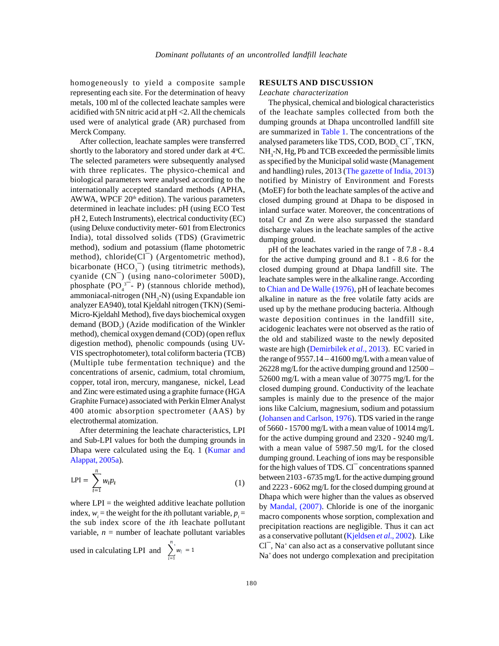homogeneously to yield a composite sample representing each site. For the determination of heavy metals, 100 ml of the collected leachate samples were acidified with 5N nitric acid at pH <2. All the chemicals used were of analytical grade (AR) purchased from Merck Company.

shortly to the laboratory and stored under dark at  $4^{\circ}C$ . The selected parameters were subsequently analysed with three replicates. The physico-chemical and biological parameters were analysed according to the internationally accepted standard methods (APHA, AWWA, WPCF  $20<sup>th</sup>$  edition). The various parameters determined in leachate includes: pH (using ECO Test pH 2, Eutech Instruments), electrical conductivity (EC) (using Deluxe conductivity meter- 601 from Electronics dis India), total dissolved solids (TDS) (Gravimetric method), sodium and potassium (flame photometric determined in leachate includes: pH (using ECO Test<br>pH 2, Eutech Instruments), electrical conductivity (EC)<br>(using Deluxe conductivity meter-601 from Electronics<br>India), total dissolved solids (TDS) (Gravimetric<br>method), pH 2, Eutech Instruments), electrical conductivity (EC)<br>(using Deluxe conductivity meter-601 from Electronics<br>India), total dissolved solids (TDS) (Gravimetric<br>method), sodium and potassium (flame photometric<br>method), chlo (using Delixe conductivity meter-601 from Electronics<br>India), total dissolved solids (TDS) (Gravimetric<br>method), sodium and potassium (flame photometric<br>method), chloride(Cl<sup>-</sup>) (Argentometric method),<br>bicarbonate (HCO<sub>3</sub> ssolved solids (TDS) (Gravimetric<br>
a and potassium (flame photometric<br>
ide(Cl<sup>-</sup>) (Argentometric method),<br>
CO<sub>3</sub><sup>-</sup>) (using titrimetric methods),<br>
(using nano-colorimeter 500D),<br>
<sup>3-</sup>- P) (stannous chloride method),<br>
ogen ammoniacal-nitrogen (NH<sub>3</sub>-N) (using Expandable ion analyzer EA940), total Kjeldahl nitrogen (TKN) (Semi-Micro-Kjeldahl Method), five days biochemical oxygen demand  $(BOD<sub>c</sub>)$  (Azide modification of the Winkler method), chemical oxygen demand (COD) (open reflux digestion method), phenolic compounds (using UV-VIS spectrophotometer), total coliform bacteria (TCB) (Multiple tube fermentation technique) and the concentrations of arsenic, cadmium, total chromium, copper, total iron, mercury, manganese, nickel, Lead and Zinc were estimated using a graphite furnace (HGA Graphite Furnace) associated with Perkin Elmer Analyst 400 atomic absorption spectrometer (AAS) by electrothermal atomization.

After determining the leachate characteristics, LPI and Sub-LPI values for both the dumping grounds in Dhapa were calculated using the Eq. 1 (Kumar and Alappat, 2005a).

$$
LPI = \sum_{l=1}^{n} w_l p_l
$$
 to  
on

where  $LPI =$  the weighted additive leachate pollution index,  $w_i$  = the weight for the *i*th pollutant variable,  $p_i$  = the sub index score of the *i*th leachate pollutant variable,  $n =$  number of leachate pollutant variables

used in calculating LPI and  $\sum_{i=1} w_i = 1$ 

## **RESULTS AND DISCUSSION**

*Leachate characterization*

After collection, leachate samples were transferred analysed parameters like TDS, COD, BOD, Cl<sup>-</sup>, TKN, The physical, chemical and biological characteristics of the leachate samples collected from both the dumping grounds at Dhapa uncontrolled landfill site are summarized in Table 1. The concentrations of the *Leachate characterization*<br>The physical, chemical and biological characteristics<br>of the leachate samples collected from both the<br>dumping grounds at Dhapa uncontrolled landfill site<br>are summarized in Table 1. The concentr as specified by the Municipal solid waste (Management and handling) rules, 2013 (The gazette of India, 2013) notified by Ministry of Environment and Forests (MoEF) for both the leachate samples of the active and closed dumping ground at Dhapa to be disposed in inland surface water. Moreover, the concentrations of total Cr and Zn were also surpassed the standard discharge values in the leachate samples of the active dumping ground.

> pH of the leachates varied in the range of 7.8 - 8.4 for the active dumping ground and 8.1 - 8.6 for the closed dumping ground at Dhapa landfill site. The leachate samples were in the alkaline range. According to Chian and De Walle (1976), pH of leachate becomes alkaline in nature as the free volatile fatty acids are used up by the methane producing bacteria. Although waste deposition continues in the landfill site, acidogenic leachates were not observed as the ratio of the old and stabilized waste to the newly deposited waste are high (Demirbilek *et al*., 2013). EC varied in the range of 9557.14 – 41600 mg/Lwith a mean value of 26228 mg/Lfor the active dumping ground and 12500 – 52600 mg/L with a mean value of 30775 mg/L for the closed dumping ground. Conductivity of the leachate samples is mainly due to the presence of the major ions like Calcium, magnesium, sodium and potassium (Johansen and Carlson, 1976). TDS varied in the range of 5660 - 15700 mg/L with a mean value of 10014 mg/L for the active dumping ground and 2320 - 9240 mg/L with a mean value of 5987.50 mg/L for the closed dumping ground. Leaching of ions may be responsible (Johansen and Carlson, 1976). I DS varied in the range<br>of 5660 - 15700 mg/L with a mean value of 10014 mg/L<br>for the active dumping ground and 2320 - 9240 mg/L<br>with a mean value of 5987.50 mg/L for the closed<br>dumping groun between 2103 - 6735 mg/L for the active dumping ground and 2223 - 6062 mg/L for the closed dumping ground at Dhapa which were higher than the values as observed by Mandal, (2007). Chloride is one of the inorganic macro components whose sorption, complexation and precipitation reactions are negligible. Thus it can act as a conservative pollutant (Kjeldsen *et al*., 2002). Like Dhapa which v<br>by Mandal, (2<br>macro compon<br>precipitation r<br>as a conservativ<br>Cl¯, Na<sup>+</sup> can al<br>Na<sup>+</sup> does not u  $Cl^{-}$ , Na<sup>+</sup> can also act as a conservative pollutant since Na<sup>+</sup> does not undergo complexation and precipitation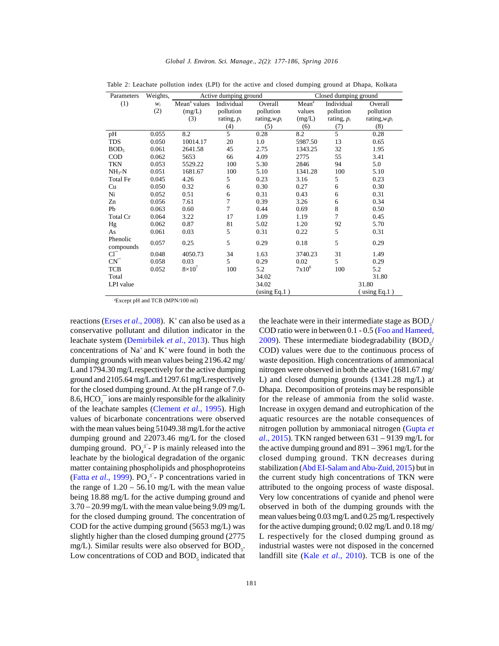| Parameters            | Weights, |                          | Active dumping ground | Closed dumping ground |                   |                |                   |
|-----------------------|----------|--------------------------|-----------------------|-----------------------|-------------------|----------------|-------------------|
| (1)                   | $W_i$    | Mean <sup>a</sup> values | Individual            | Overall               | Mean <sup>a</sup> | Individual     | Overall           |
|                       | (2)      | (mg/L)                   | pollution             | pollution             | values            | pollution      | pollution         |
|                       |          | (3)                      | rating, $p_i$         | rating, $w_i p_i$     | (mg/L)            | rating, $p_i$  | rating, $w_i p_i$ |
|                       |          |                          | (4)                   | (5)                   | (6)               | (7)            | (8)               |
| pH                    | 0.055    | 8.2                      | 5                     | 0.28                  | 8.2               | 5              | 0.28              |
| TDS                   | 0.050    | 10014.17                 | 20                    | 1.0                   | 5987.50           | 13             | 0.65              |
| BOD <sub>5</sub>      | 0.061    | 2641.58                  | 45                    | 2.75                  | 1343.25           | 32             | 1.95              |
| <b>COD</b>            | 0.062    | 5653                     | 66                    | 4.09                  | 2775              | 55             | 3.41              |
| <b>TKN</b>            | 0.053    | 5529.22                  | 100                   | 5.30                  | 2846              | 94             | 5.0               |
| $NH3-N$               | 0.051    | 1681.67                  | 100                   | 5.10                  | 1341.28           | 100            | 5.10              |
| Total Fe              | 0.045    | 4.26                     | 5                     | 0.23                  | 3.16              | 5              | 0.23              |
| Cu                    | 0.050    | 0.32                     | 6                     | 0.30                  | 0.27              | 6              | 0.30              |
| Ni                    | 0.052    | 0.51                     | 6                     | 0.31                  | 0.43              | 6              | 0.31              |
| Zn                    | 0.056    | 7.61                     | $\overline{7}$        | 0.39                  | 3.26              | 6              | 0.34              |
| Pb                    | 0.063    | 0.60                     | $\overline{7}$        | 0.44                  | 0.69              | 8              | 0.50              |
| Total Cr              | 0.064    | 3.22                     | 17                    | 1.09                  | 1.19              | $\overline{7}$ | 0.45              |
| Hg                    | 0.062    | 0.87                     | 81                    | 5.02                  | 1.20              | 92             | 5.70              |
| As                    | 0.061    | 0.03                     | 5                     | 0.31                  | 0.22              | 5              | 0.31              |
| Phenolic<br>compounds | 0.057    | 0.25                     | 5                     | 0.29                  | 0.18              | 5              | 0.29              |
| $Cl^-$                | 0.048    | 4050.73                  | 34                    | 1.63                  | 3740.23           | 31             | 1.49              |
| $CN^{-}$              | 0.058    | 0.03                     | 5                     | 0.29                  | 0.02              | 5              | 0.29              |
| TCB                   | 0.052    | $8\times10^{7}$          | 100                   | 5.2                   | $7x10^6$          | 100            | 5.2               |
| Total                 |          |                          |                       | 34.02                 |                   |                | 31.80             |
| LPI value             |          |                          |                       | 34.02                 |                   |                | 31.80             |
|                       |          |                          |                       | using Eq.1)           |                   |                | $(u\sin g Eq.1)$  |

Table 2: Leachate pollution index (LPI) for the active and closed dumping ground at Dhapa, Kolkata

aExcept pH and TCB (MPN/100 ml)

reactions (*Erses <i>et al.*, 2008). K<sup>+</sup> can also be used as a the conservative pollutant and dilution indicator in the leachate system (Demirbilek *et al*., 2013). Thus high concentrations of  $Na^+$  and  $K^+$  were found in both the dumping grounds with mean values being 2196.42 mg/ Land 1794.30 mg/Lrespectively for the active dumping ground and 2105.64 mg/Land1297.61mg/Lrespectively for the closed dumping ground. At the pH range of 7.0- 8.6,  $HCO<sub>3</sub><sup>-</sup>$  ions are mainly responsible for the alkalinity of the leachate samples (Clement *et al*., 1995). High values of bicarbonate concentrations were observed with the mean values being 51049.38 mg/Lfor the active dumping ground and 22073.46 mg/L for the closed dumping ground.  $PO_4^{3}$  - P is mainly released into the the a leachate by the biological degradation of the organic matter containing phospholipids and phosphoproteins (Fatta *et al.*, 1999).  $PO_4^3$  - P concentrations varied in the c the range of  $1.20 - 56.10$  mg/L with the mean value being 18.88 mg/L for the active dumping ground and 3.70 – 20.99 mg/L with the mean value being 9.09 mg/L for the closed dumping ground. The concentration of COD for the active dumping ground (5653 mg/L) was slightly higher than the closed dumping ground (2775 mg/L). Similar results were also observed for  $BOD<sub>5</sub>$ . i Low concentrations of COD and  $BOD<sub>5</sub>$  indicated that 1

the leachate were in their intermediate stage as  $\text{BOD}_s/$ COD ratio were in between 0.1 - 0.5 (Foo and Hameed, 2009). These intermediate biodegradability  $(BOD<sub>5</sub>/$ COD) values were due to the continuous process of waste deposition. High concentrations of ammoniacal nitrogen were observed in both the active (1681.67 mg/ L) and closed dumping grounds (1341.28 mg/L) at Dhapa. Decomposition of proteins may be responsible for the release of ammonia from the solid waste. Increase in oxygen demand and eutrophication of the aquatic resources are the notable consequences of nitrogen pollution by ammoniacal nitrogen (Gupta *et al*., 2015). TKN ranged between 631 – 9139 mg/L for the active dumping ground and 891 – 3961 mg/L for the closed dumping ground. TKN decreases during stabilization (Abd EI-Salam and Abu-Zuid, 2015) but in the current study high concentrations of TKN were attributed to the ongoing process of waste disposal. Very low concentrations of cyanide and phenol were observed in both of the dumping grounds with the mean values being 0.03 mg/L and 0.25 mg/L respectively for the active dumping ground; 0.02 mg/L and 0.18 mg/ L respectively for the closed dumping ground as industrial wastes were not disposed in the concerned landfill site (Kale *et al*., 2010). TCB is one of the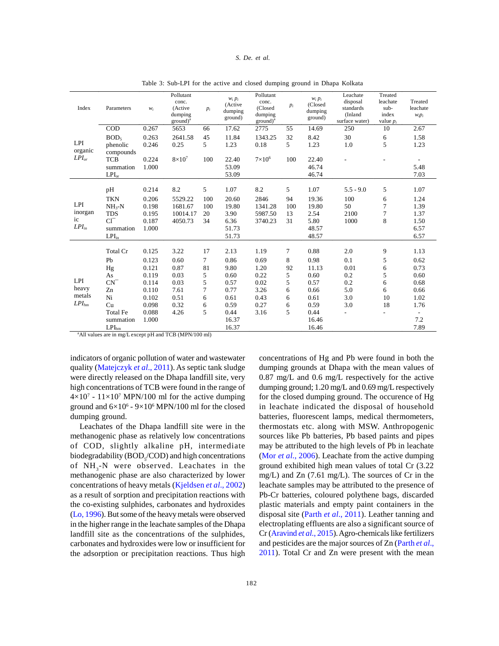#### *Global J. Environ. Sci. Manage., 2(2): 177-186, Spring 2016 S. De. et al.*

| Index                              | Parameters        | $W_i$ | Pollutant<br>conc.<br>(Active<br>dumping<br>$ground)^a$ | $p_i$ | $w_i p_i$<br>(Active<br>dumping<br>ground) | Pollutant<br>conc.<br>(Closed<br>dumping<br>$ground)^a$ | $p_i$          | $W_i p_i$<br>(Closed<br>dumping<br>ground) | Leachate<br>disposal<br>standards<br>(Inland<br>surface water) | Treated<br>leachate<br>sub-<br>index<br>value $p_i$ | Treated<br>leachate<br>$w_i p_i$ |
|------------------------------------|-------------------|-------|---------------------------------------------------------|-------|--------------------------------------------|---------------------------------------------------------|----------------|--------------------------------------------|----------------------------------------------------------------|-----------------------------------------------------|----------------------------------|
|                                    | COD               | 0.267 | 5653                                                    | 66    | 17.62                                      | 2775                                                    | 55             | 14.69                                      | 250                                                            | 10                                                  | 2.67                             |
| <b>LPI</b>                         | BOD <sub>5</sub>  | 0.263 | 2641.58                                                 | 45    | 11.84                                      | 1343.25                                                 | 32             | 8.42                                       | 30                                                             | 6                                                   | 1.58                             |
|                                    | phenolic          | 0.246 | 0.25                                                    | 5     | 1.23                                       | 0.18                                                    | $\mathfrak{F}$ | 1.23                                       | 1.0                                                            | 5                                                   | 1.23                             |
| organic                            | compounds         |       |                                                         |       |                                            |                                                         |                |                                            |                                                                |                                                     |                                  |
| $LPI_{or}$                         | <b>TCB</b>        | 0.224 | $8\times10^7$                                           | 100   | 22.40                                      | $7\times10^6$                                           | 100            | 22.40                                      |                                                                |                                                     |                                  |
|                                    | summation         | 1.000 |                                                         |       | 53.09                                      |                                                         |                | 46.74                                      |                                                                |                                                     | 5.48                             |
|                                    | $LPI_{or}$        |       |                                                         |       | 53.09                                      |                                                         |                | 46.74                                      |                                                                |                                                     | 7.03                             |
|                                    | pH                | 0.214 | 8.2                                                     | 5     | 1.07                                       | 8.2                                                     | 5              | 1.07                                       | $5.5 - 9.0$                                                    | 5                                                   | 1.07                             |
|                                    | <b>TKN</b>        | 0.206 | 5529.22                                                 | 100   | 20.60                                      | 2846                                                    | 94             | 19.36                                      | 100                                                            | 6                                                   | 1.24                             |
| LPI                                | $NH_{3}-N$        | 0.198 | 1681.67                                                 | 100   | 19.80                                      | 1341.28                                                 | 100            | 19.80                                      | 50                                                             | $\overline{7}$                                      | 1.39                             |
| inorgan<br>ic<br>LPI <sub>in</sub> | <b>TDS</b>        | 0.195 | 10014.17                                                | 20    | 3.90                                       | 5987.50                                                 | 13             | 2.54                                       | 2100                                                           | $\overline{7}$                                      | 1.37                             |
|                                    | $Cl^{-}$          | 0.187 | 4050.73                                                 | 34    | 6.36                                       | 3740.23                                                 | 31             | 5.80                                       | 1000                                                           | 8                                                   | 1.50                             |
|                                    | summation         | 1.000 |                                                         |       | 51.73                                      |                                                         |                | 48.57                                      |                                                                |                                                     | 6.57                             |
|                                    | LPI <sub>in</sub> |       |                                                         |       | 51.73                                      |                                                         |                | 48.57                                      |                                                                |                                                     | 6.57                             |
|                                    |                   |       |                                                         |       |                                            |                                                         |                |                                            |                                                                |                                                     |                                  |
| LPI<br>heavy<br>metals             | Total Cr          | 0.125 | 3.22                                                    | 17    | 2.13                                       | 1.19                                                    | 7              | 0.88                                       | 2.0                                                            | 9                                                   | 1.13                             |
|                                    | Pb                | 0.123 | 0.60                                                    | 7     | 0.86                                       | 0.69                                                    | 8              | 0.98                                       | 0.1                                                            | 5                                                   | 0.62                             |
|                                    | Hg                | 0.121 | 0.87                                                    | 81    | 9.80                                       | 1.20                                                    | 92             | 11.13                                      | 0.01                                                           | 6                                                   | 0.73                             |
|                                    | As                | 0.119 | 0.03                                                    | 5     | 0.60                                       | 0.22                                                    | 5              | 0.60                                       | 0.2                                                            | 5                                                   | 0.60                             |
|                                    | $\mathrm{CN}^-$   | 0.114 | 0.03                                                    | 5     | 0.57                                       | 0.02                                                    | 5              | 0.57                                       | 0.2                                                            | 6                                                   | 0.68                             |
|                                    | Zn                | 0.110 | 7.61                                                    | 7     | 0.77                                       | 3.26                                                    | 6              | 0.66                                       | 5.0                                                            | 6                                                   | 0.66                             |
|                                    | Ni                | 0.102 | 0.51                                                    | 6     | 0.61                                       | 0.43                                                    | 6              | 0.61                                       | 3.0                                                            | 10                                                  | 1.02                             |
| $LPI_{hm}$                         | Cu                | 0.098 | 0.32                                                    | 6     | 0.59                                       | 0.27                                                    | 6              | 0.59                                       | 3.0                                                            | 18                                                  | 1.76                             |
|                                    | <b>Total Fe</b>   | 0.088 | 4.26                                                    | 5     | 0.44                                       | 3.16                                                    | 5              | 0.44                                       |                                                                |                                                     |                                  |
|                                    | summation         | 1.000 |                                                         |       | 16.37                                      |                                                         |                | 16.46                                      |                                                                |                                                     | 7.2                              |
|                                    | $LPI_{hm}$        |       |                                                         |       | 16.37                                      |                                                         |                | 16.46                                      |                                                                |                                                     | 7.89                             |

Table 3: Sub-LPI for the active and closed dumping ground in Dhapa Kolkata

<sup>a</sup>All values are in mg/L except pH and TCB (MPN/100 ml)

indicators of organic pollution of water and wastewater quality (Matejczyk *et al*., 2011). As septic tank sludge were directly released on the Dhapa landfill site, very high concentrations of TCB were found in the range of  $4 \times 10^7$  -  $11 \times 10^7$  MPN/100 ml for the active dumping for the ground and  $6\times10^6$  -  $9\times10^6$  MPN/100 ml for the closed in le dumping ground.

Leachates of the Dhapa landfill site were in the methanogenic phase as relatively low concentrations of COD, slightly alkaline pH, intermediate biodegradability ( $BOD<sub>s</sub>/COD$ ) and high concentrations (M of  $NH<sub>3</sub>-N$  were observed. Leachates in the methanogenic phase are also characterized by lower concentrations of heavy metals (Kjeldsen *et al*., 2002) as a result of sorption and precipitation reactions with the co-existing sulphides, carbonates and hydroxides (Lo, 1996). But some of the heavy metals were observed in the higher range in the leachate samples of the Dhapa landfill site as the concentrations of the sulphides, carbonates and hydroxides were low or insufficient for the adsorption or precipitation reactions. Thus high

concentrations of Hg and Pb were found in both the dumping grounds at Dhapa with the mean values of 0.87 mg/L and 0.6 mg/L respectively for the active dumping ground; 1.20 mg/L and 0.69 mg/L respectively for the closed dumping ground. The occurence of Hg in leachate indicated the disposal of household batteries, fluorescent lamps, medical thermometers, thermostats etc. along with MSW. Anthropogenic sources like Pb batteries, Pb based paints and pipes may be attributed to the high levels of Pb in leachate (Mor *et al*., 2006). Leachate from the active dumping ground exhibited high mean values of total Cr (3.22 mg/L) and Zn (7.61 mg/L). The sources of Cr in the leachate samples may be attributed to the presence of Pb-Cr batteries, coloured polythene bags, discarded plastic materials and empty paint containers in the disposal site (Parth *et al*., 2011). Leather tanning and electroplating effluents are also a significant source of Cr (Aravind *et al*., 2015). Agro-chemicals like fertilizers and pesticides are the major sources of Zn (Parth *et al*., 2011). Total Cr and Zn were present with the mean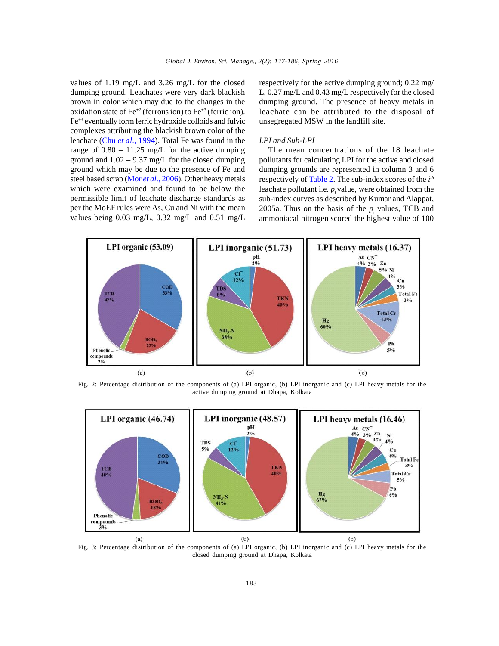values of 1.19 mg/L and 3.26 mg/L for the closed dumping ground. Leachates were very dark blackish brown in color which may due to the changes in the oxidation state of  $Fe^{+2}$  (ferrous ion) to  $Fe^{+3}$  (ferric ion). Fe+3 eventually form ferric hydroxide colloids and fulvic complexes attributing the blackish brown color of the leachate (Chu *et al*., 1994). Total Fe was found in the range of  $0.80 - 11.25$  mg/L for the active dumping ground and  $1.02 - 9.37$  mg/L for the closed dumping ground which may be due to the presence of Fe and steel based scrap (Mor *et al*., 2006). Other heavy metals which were examined and found to be below the permissible limit of leachate discharge standards as per the MoEF rules were As, Cu and Ni with the mean values being 0.03 mg/L, 0.32 mg/L and 0.51 mg/L respectively for the active dumping ground; 0.22 mg/ L, 0.27 mg/L and 0.43 mg/L respectively for the closed dumping ground. The presence of heavy metals in leachate can be attributed to the disposal of unsegregated MSW in the landfill site.

#### *LPI and Sub-LPI*

The mean concentrations of the 18 leachate pollutants for calculating LPI for the active and closed dumping grounds are represented in column 3 and 6 respectively of Table 2. The sub-index scores of the *i th* leachate pollutant i.e.  $p_i$  value, were obtained from the sub-index curves as described by Kumar and Alappat, 2005a. Thus on the basis of the  $p_i$  values, TCB and ammoniacal nitrogen scored the highest value of 100



Fig. 2: Percentage distribution of the components of (a) LPI organic, (b) LPI inorganic and (c) LPI heavy metals for the active dumping ground at Dhapa, Kolkata



Fig. 3: Percentage distribution of the components of (a) LPI organic, (b) LPI inorganic and (c) LPI heavy metals for the closed dumping ground at Dhapa, Kolkata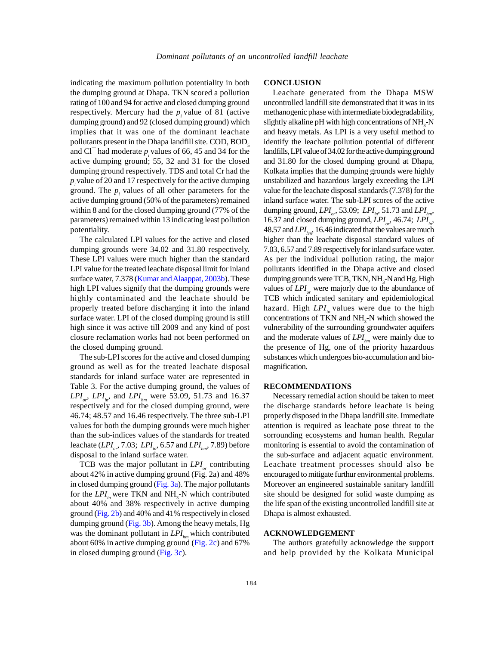indicating the maximum pollution potentiality in both the dumping ground at Dhapa. TKN scored a pollution rating of 100 and 94 for active and closed dumping ground respectively. Mercury had the  $p_i$  value of 81 (active met dumping ground) and 92 (closed dumping ground) which implies that it was one of the dominant leachate presentively. Mercury had the  $p_i$  value of 81 (active method<br>umping ground) and 92 (closed dumping ground) which slight<br>implies that it was one of the dominant leachate and<br>pollutants present in the Dhapa landfill site. active dumping ground; 55, 32 and 31 for the closed dumping ground respectively. TDS and total Cr had the *pi*value of 20 and 17 respectively for the active dumping ground. The  $p_i$  values of all other parameters for the active dumping ground (50% of the parameters) remained within 8 and for the closed dumping ground (77% of the parameters) remained within 13 indicating least pollution potentiality.

The calculated LPI values for the active and closed dumping grounds were 34.02 and 31.80 respectively. These LPI values were much higher than the standard LPI value for the treated leachate disposal limit for inland surface water, 7.378 (Kumar and Alaappat, 2003b). These high LPI values signify that the dumping grounds were highly contaminated and the leachate should be properly treated before discharging it into the inland surface water. LPI of the closed dumping ground is still high since it was active till 2009 and any kind of post closure reclamation works had not been performed on the closed dumping ground.

The sub-LPI scores for the active and closed dumping ground as well as for the treated leachate disposal standards for inland surface water are represented in Table 3. For the active dumping ground, the values of  $LPI_{or}$ ,  $LPI_{in}$ , and  $LPI_{hm}$  were 53.09, 51.73 and 16.37 No. respectively and for the closed dumping ground, were 46.74; 48.57 and 16.46 respectively. The three sub-LPI values for both the dumping grounds were much higher than the sub-indices values of the standards for treated leachate (*LPI or*, 7.03; *LPIin*, 6.57 and *LPIhm*, 7.89) before disposal to the inland surface water.

TCB was the major pollutant in  $LPI_{or}$  contributing Lead about 42% in active dumping ground (Fig. 2a) and 48% in closed dumping ground  $(Fig. 3a)$ . The major pollutants for the  $LPI_i$  were TKN and NH<sub>3</sub>-N which contributed about 40% and 38% respectively in active dumping ground (Fig. 2b) and 40% and 41% respectively in closed dumping ground (Fig. 3b). Among the heavy metals, Hg was the dominant pollutant in *LPI*<sub>*hm*</sub> which contributed about 60% in active dumping ground (Fig. 2c) and 67% in closed dumping ground (Fig. 3c).

#### **CONCLUSION**

Leachate generated from the Dhapa MSW uncontrolled landfill site demonstrated that it was in its methanogenic phase with intermediate biodegradability, slightly alkaline  $pH$  with high concentrations of NH<sub>3</sub>-N and heavy metals. As LPI is a very useful method to identify the leachate pollution potential of different landfills, LPI value of 34.02 for the active dumping ground and 31.80 for the closed dumping ground at Dhapa, Kolkata implies that the dumping grounds were highly unstabilized and hazardous largely exceeding the LPI value for the leachate disposal standards (7.378) for the inland surface water. The sub-LPI scores of the active dumping ground, *LPI<sub>or</sub>*, 53.09; *LPI<sub>in</sub>*, 51.73 and *LPI<sub>hm</sub>*, 16.37 and closed dumping ground, *LPI<sub><sub>n</sub>*</sub>, 46.74; *LPI<sub>in</sub>*, 16.37 and closed dumping ground,  $LPI_{or}$ , 46.74;  $LPI_{in}$ , 48.57 and  $LPI_{n}$ , 16.46 indicated that the values are much higher than the leachate disposal standard values of 7.03, 6.57 and 7.89 respectively for inland surface water. As per the individual pollution rating, the major pollutants identified in the Dhapa active and closed dumping grounds were TCB, TKN, NH<sub>2</sub>-N and Hg. High values of *LPI or* were majorly due to the abundance of TCB which indicated sanitary and epidemiological hazard. High *LPI<sub>in</sub>* values were due to the high concentrations of TKN and  $NH<sub>3</sub>-N$  which showed the vulnerability of the surrounding groundwater aquifers and the moderate values of  $LPI_{hm}$  were mainly due to the presence of Hg, one of the priority hazardous substances which undergoes bio-accumulation and biomagnification.

### **RECOMMENDATIONS**

Necessary remedial action should be taken to meet the discharge standards before leachate is being properly disposed in the Dhapa landfill site. Immediate attention is required as leachate pose threat to the sorrounding ecosystems and human health. Regular monitoring is essential to avoid the contamination of the sub-surface and adjacent aquatic environment. Leachate treatment processes should also be encouraged to mitigate furthur environmental problems. Moreover an engineered sustainable sanitary landfill site should be designed for solid waste dumping as the life span of the existing uncontrolled landfill site at Dhapa is almost exhausted.

#### **ACKNOWLEDGEMENT**

The authors gratefully acknowledge the support and help provided by the Kolkata Municipal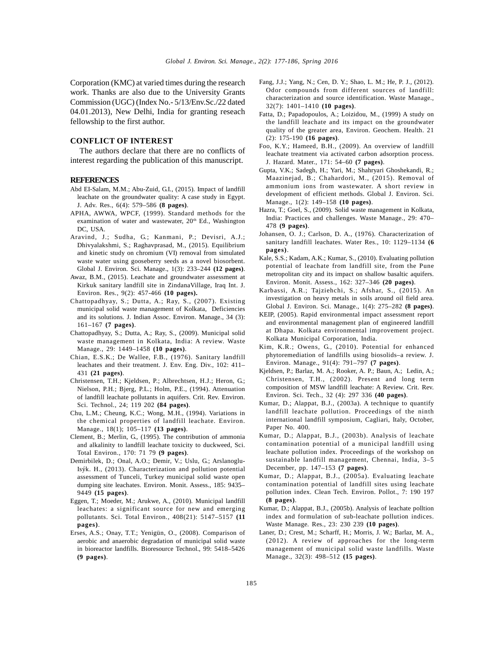Corporation (KMC) at varied times during the research work. Thanks are also due to the University Grants Commission (UGC) (Index No.- 5/13/Env.Sc./22 dated 04.01.2013), New Delhi, India for granting reseach fellowship to the first author.

## **CONFLICT OF INTEREST**

The authors declare that there are no conflicts of interest regarding the publication of this manuscript.

### **REFERENCES**

- Abd EI-Salam, M.M.; Abu-Zuid, G.I., (2015). Impact of landfill leachate on the groundwater quality: A case study in Egypt. J. Adv. Res., 6(4): 579–586 **(8 pages)**.
- APHA, AWWA, WPCF, (1999). Standard methods for the examination of water and wastewater, 20<sup>th</sup> Ed., Washington DC, USA.
- Aravind, J.; Sudha, G.; Kanmani, P.; Devisri, A.J.; Dhivyalakshmi, S.; Raghavprasad, M., (2015). Equilibrium and kinetic study on chromium (VI) removal from simulated waste water using gooseberry seeds as a novel biosorbent. Global J. Environ. Sci. Manage., 1(3): 233–244 **(12 pages)**.
- Awaz, B.M., (2015). Leachate and groundwater assessment at Kirkuk sanitary landfill site in ZindanaVillage, Iraq Int. J. Environ. Res., 9(2): 457-466 **(10 pages).**
- Chattopadhyay, S.; Dutta, A.; Ray, S., (2007). Existing municipal solid waste management of Kolkata, Deficiencies and its solutions. J. Indian Assoc. Environ. Manage., 34 (3): 161–167 **(7 pages)**.
- Chattopadhyay, S.; Dutta, A.; Ray, S., (2009). Municipal solid waste management in Kolkata, India: A review. Waste Manage., 29: 1449–1458 **(10 pages)**.
- Chian, E.S.K.; De Wallee, F.B., (1976). Sanitary landfill leachates and their treatment. J. Env. Eng. Div., 102: 411– 431 **(21 pages)**.
- Christensen, T.H.; Kjeldsen, P.; Albrechtsen, H.J.; Heron, G.; Nielson, P.H.; Bjerg, P.L.; Holm, P.E., (1994). Attenuation of landfill leachate pollutants in aquifers. Crit. Rev. Environ. Sci. Technol., 24; 119 202 **(84 pages)**.
- Chu, L.M.; Cheung, K.C.; Wong, M.H., (1994). Variations in the chemical properties of landfill leachate. Environ. Manage., 18(1); 105–117 **(13 pages)**.
- Clement, B.; Merlin, G., (1995). The contribution of ammonia and alkalinity to landfill leachate toxicity to duckweed, Sci. Total Environ.*,* 170: 71 79 **(9 pages)**.
- Demirbilek, D.; Onal, A.O.; Demir, V.; Uslu, G.; Arslanoglu-Isýk. H., (2013). Characterization and pollution potential assessment of Tunceli, Turkey municipal solid waste open dumping site leachates. Environ. Monit. Assess., 185: 9435– 9449 **(15 pages)**.
- Eggen, T.; Moeder, M.; Arukwe, A., (2010). Municipal landfill leachates: a significant source for new and emerging pollutants. Sci. Total Environ.*,* 408(21): 5147–5157 **(11 pages)**.
- Erses, A.S.; Onay, T.T.; Yenigün, O., (2008). Comparison of aerobic and anaerobic degradation of municipal solid waste in bioreactor landfills. Bioresource Technol., 99: 5418–5426 **(9 pages)**.
- Fang, J.J.; Yang, N.; Cen, D. Y.; Shao, L. M.; He, P. J., (2012). Odor compounds from different sources of landfill: characterization and source identification. Waste Manage., 32(7): 1401–1410 **(10 pages)**.
- Fatta, D.; Papadopoulos, A.; Loizidou, M., (1999) A study on the landfill leachate and its impact on the groundwater quality of the greater area, Environ. Geochem. Health. 21 (2): 175-190 **(16 pages)**.
- Foo, K.Y.; Hameed, B.H., (2009). An overview of landfill leachate treatment via activated carbon adsorption process. J. Hazard. Mater., 171: 54–60 **(7 pages)**.
- Gupta, V.K.; Sadegh, H.; Yari, M.; Shahryari Ghoshekandi, R.; Maazinejad, B.; Chahardori, M., (2015). Removal of ammonium ions from wastewater. A short review in development of efficient methods. Global J. Environ. Sci. Manage., 1(2): 149–158 **(10 pages)**.
- Hazra, T.; Goel, S., (2009). Solid waste management in Kolkata, India: Practices and challenges. Waste Manage., 29: 470– 478 **(9 pages)**.
- Johansen, O. J.; Carlson, D. A., (1976). Characterization of sanitary landfill leachates. Water Res., 10: 1129–1134 **(6 pages)**.
- Kale, S.S.; Kadam, A.K.; Kumar, S., (2010). Evaluating pollution potential of leachate from landfill site, from the Pune metropolitan city and its impact on shallow basaltic aquifers. Environ. Monit. Assess., 162: 327–346 **(20 pages)**.
- Karbassi, A.R.; Tajziehchi, S.; Afshar, S., (2015). An investigation on heavy metals in soils around oil field area. Global J. Environ. Sci. Manage., 1(4): 275–282 **(8 pages)**.
- KEIP, (2005). Rapid environmental impact assessment report and environmental management plan of engineered landfill at Dhapa. Kolkata environmental improvement project. Kolkata Municipal Corporation, India.
- Kim, K.R.; Owens, G., (2010). Potential for enhanced phytoremediation of landfills using biosolids–a review. J. Environ. Manage., 91(4): 791–797 **(7 pages)**.
- Kjeldsen, P.; Barlaz, M. A.; Rooker, A. P.; Baun, A.; Ledin, A.; Christensen, T.H., (2002). Present and long term composition of MSW landfill leachate: A Review. Crit. Rev. Environ. Sci. Tech., 32 (4): 297 336 **(40 pages)**.
- Kumar, D.; Alappat, B.J., (2003a). A technique to quantify landfill leachate pollution. Proceedings of the ninth international landfill symposium, Cagliari, Italy, October, Paper No. 400.
- Kumar, D.; Alappat, B.J., (2003b). Analysis of leachate contamination potential of a municipal landfill using leachate pollution index. Proceedings of the workshop on sustainable landfill management, Chennai, India, 3–5 December, pp. 147–153 **(7 pages)**.
- Kumar, D.; Alappat, B.J., (2005a). Evaluating leachate contamination potential of landfill sites using leachate pollution index. Clean Tech. Environ. Pollot., 7: 190 197 **(8 pages)**.
- Kumar, D.; Alappat, B.J., (2005b). Analysis of leachate polltion index and formulation of sub-leachate pollution indices. Waste Manage. Res., 23: 230 239 **(10 pages)**.
- Laner, D.; Crest, M.; Scharff, H.; Morris, J. W.; Barlaz, M. A., (2012). A review of approaches for the long-term management of municipal solid waste landfills. Waste Manage., 32(3): 498–512 **(15 pages)**.